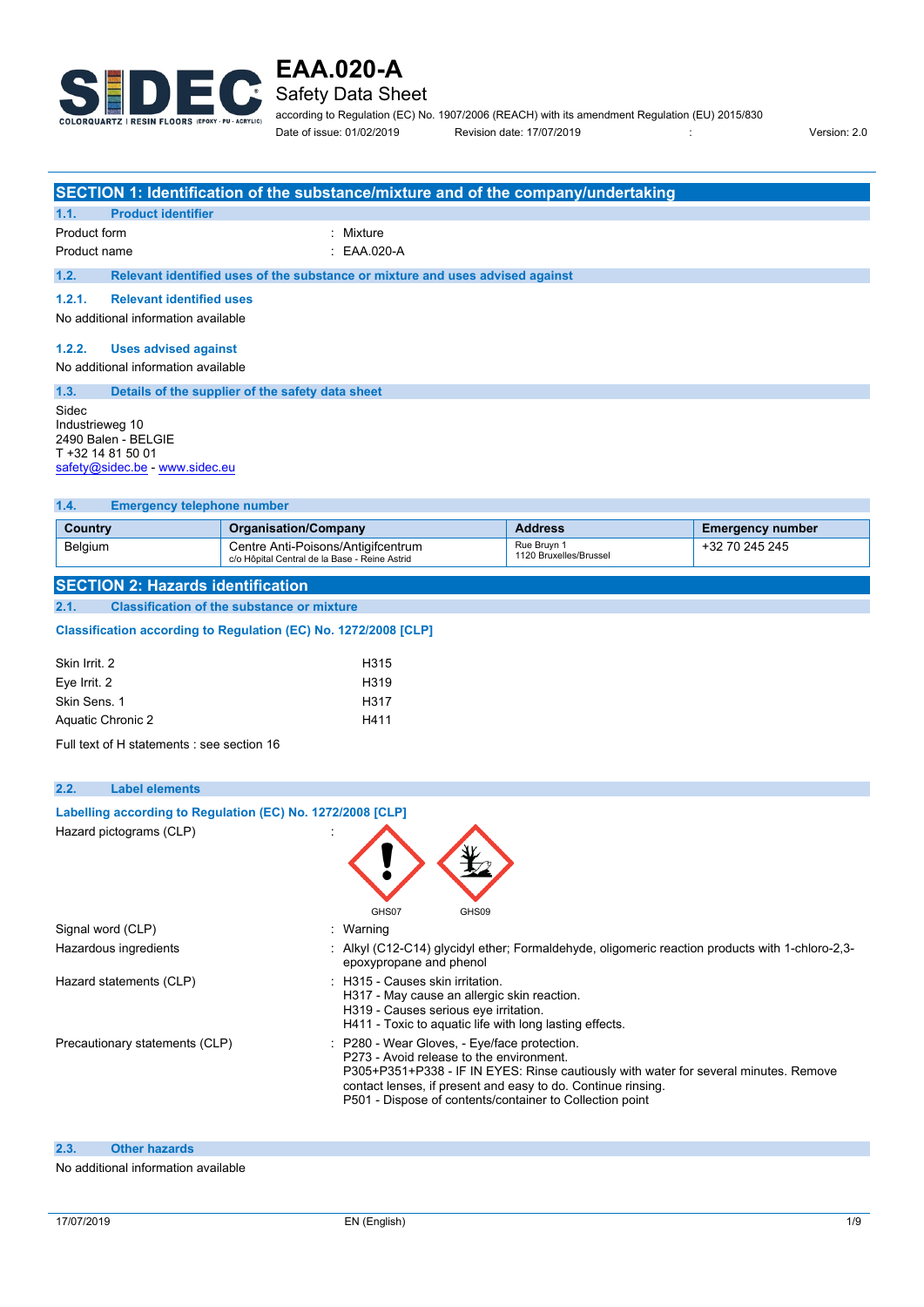

### Safety Data Sheet

according to Regulation (EC) No. 1907/2006 (REACH) with its amendment Regulation (EU) 2015/830 Date of issue: 01/02/2019 Revision date: 17/07/2019 : Version: 2.0

|                                                                                                                                                           | SECTION 1: Identification of the substance/mixture and of the company/undertaking |                |                         |  |  |
|-----------------------------------------------------------------------------------------------------------------------------------------------------------|-----------------------------------------------------------------------------------|----------------|-------------------------|--|--|
| <b>Product identifier</b><br>1.1.                                                                                                                         |                                                                                   |                |                         |  |  |
| Product form                                                                                                                                              | : Mixture                                                                         |                |                         |  |  |
| Product name                                                                                                                                              | $\therefore$ EAA.020-A                                                            |                |                         |  |  |
| 1.2.                                                                                                                                                      | Relevant identified uses of the substance or mixture and uses advised against     |                |                         |  |  |
| 1.2.1.                                                                                                                                                    | <b>Relevant identified uses</b>                                                   |                |                         |  |  |
| No additional information available                                                                                                                       |                                                                                   |                |                         |  |  |
| 1.2.2.                                                                                                                                                    | Uses advised against<br>No additional information available                       |                |                         |  |  |
| 1.3.                                                                                                                                                      | Details of the supplier of the safety data sheet                                  |                |                         |  |  |
| Sidec<br>Industrieweg 10<br>2490 Balen - BELGIE<br>T +32 14 81 50 01<br>safety@sidec.be - www.sidec.eu                                                    |                                                                                   |                |                         |  |  |
| <b>Emergency telephone number</b><br>1.4.                                                                                                                 |                                                                                   |                |                         |  |  |
| <b>Country</b>                                                                                                                                            | <b>Organisation/Company</b>                                                       | <b>Address</b> | <b>Emergency number</b> |  |  |
| Rue Bruyn 1<br>+32 70 245 245<br>Belgium<br>Centre Anti-Poisons/Antigifcentrum<br>1120 Bruxelles/Brussel<br>c/o Hôpital Central de la Base - Reine Astrid |                                                                                   |                |                         |  |  |

### **SECTION 2: Hazards identification**

**2.1. Classification of the substance or mixture**

#### Classification according to Regulation (EC) No. 1272/2008 [CLP]

| Skin Irrit. 2     | H <sub>3</sub> 15 |
|-------------------|-------------------|
| Eye Irrit. 2      | H <sub>319</sub>  |
| Skin Sens. 1      | H <sub>3</sub> 17 |
| Aquatic Chronic 2 | H411              |

Full text of H statements : see section 16

| 2.2. | <b>Label elements</b>                                      |                                                                                                                                                                                                                                                                                                              |
|------|------------------------------------------------------------|--------------------------------------------------------------------------------------------------------------------------------------------------------------------------------------------------------------------------------------------------------------------------------------------------------------|
|      | Labelling according to Regulation (EC) No. 1272/2008 [CLP] |                                                                                                                                                                                                                                                                                                              |
|      | Hazard pictograms (CLP)                                    | GHS07<br>GHS09                                                                                                                                                                                                                                                                                               |
|      | Signal word (CLP)                                          | Warning                                                                                                                                                                                                                                                                                                      |
|      | Hazardous ingredients                                      | Alkyl (C12-C14) glycidyl ether; Formaldehyde, oligomeric reaction products with 1-chloro-2,3-<br>epoxypropane and phenol                                                                                                                                                                                     |
|      | Hazard statements (CLP)                                    | H315 - Causes skin irritation.<br>H317 - May cause an allergic skin reaction.<br>H319 - Causes serious eye irritation.<br>H411 - Toxic to aquatic life with long lasting effects.                                                                                                                            |
|      | Precautionary statements (CLP)                             | : P280 - Wear Gloves, - Eye/face protection.<br>P273 - Avoid release to the environment.<br>P305+P351+P338 - IF IN EYES: Rinse cautiously with water for several minutes. Remove<br>contact lenses, if present and easy to do. Continue rinsing.<br>P501 - Dispose of contents/container to Collection point |

### **2.3. Other hazards**

#### No additional information available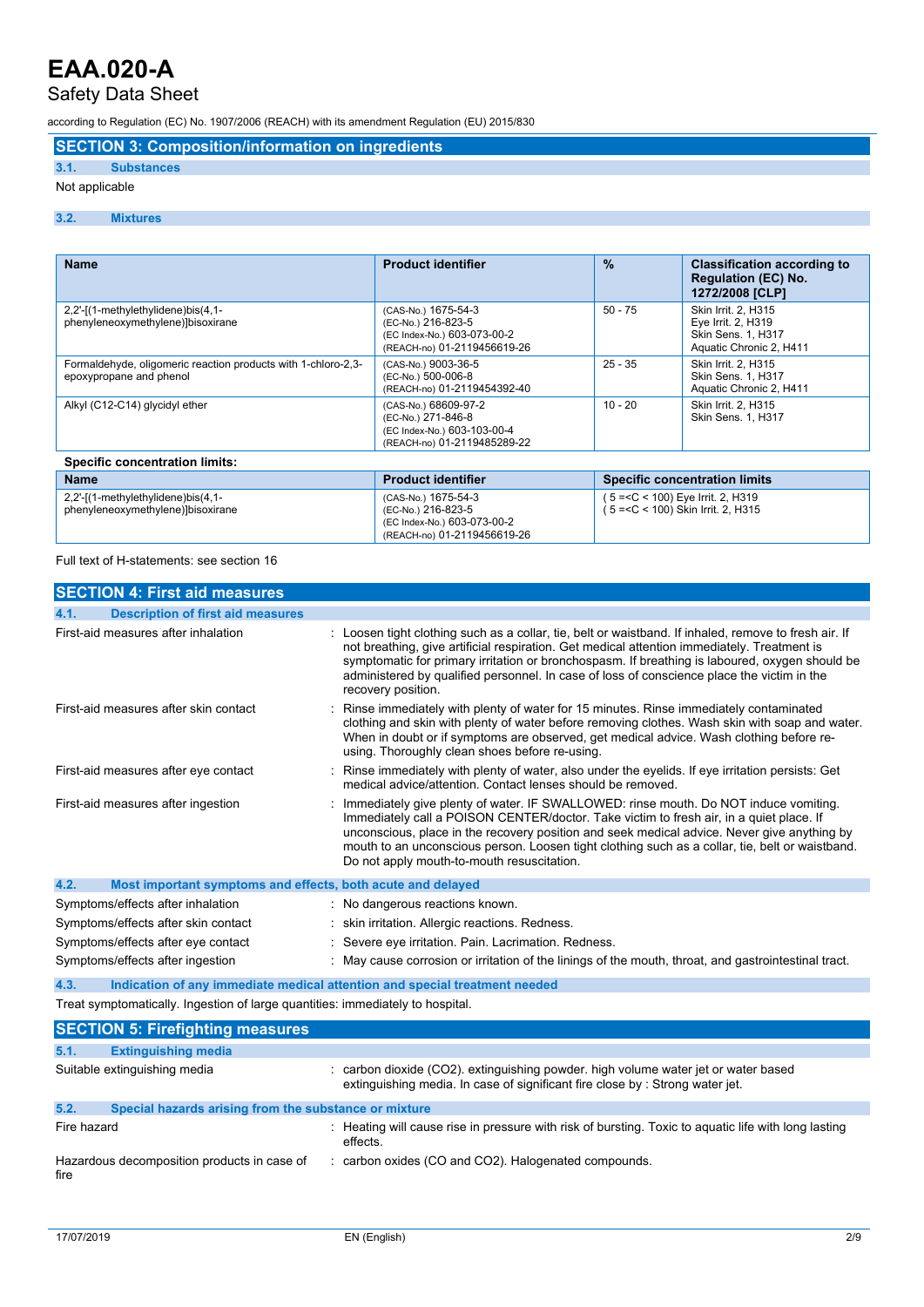## Safety Data Sheet

according to Regulation (EC) No. 1907/2006 (REACH) with its amendment Regulation (EU) 2015/830

**SECTION 3: Composition/information on ingredients**

### **3.1. Substances**

#### Not applicable

#### **3.2. Mixtures**

| <b>Name</b>                                                                              | <b>Product identifier</b>                                                                                | $\frac{9}{6}$ | <b>Classification according to</b><br><b>Regulation (EC) No.</b><br>1272/2008 [CLP]               |  |
|------------------------------------------------------------------------------------------|----------------------------------------------------------------------------------------------------------|---------------|---------------------------------------------------------------------------------------------------|--|
| 2,2'-[(1-methylethylidene)bis(4,1-<br>phenyleneoxymethylene)]bisoxirane                  | (CAS-No.) 1675-54-3<br>(EC-No.) 216-823-5<br>(EC Index-No.) 603-073-00-2<br>(REACH-no) 01-2119456619-26  | $50 - 75$     | Skin Irrit. 2. H315<br>Eye Irrit. 2, H319<br><b>Skin Sens. 1, H317</b><br>Aquatic Chronic 2, H411 |  |
| Formaldehyde, oligomeric reaction products with 1-chloro-2,3-<br>epoxypropane and phenol | (CAS-No.) 9003-36-5<br>(EC-No.) 500-006-8<br>(REACH-no) 01-2119454392-40                                 | $25 - 35$     | Skin Irrit. 2. H315<br><b>Skin Sens. 1, H317</b><br>Aquatic Chronic 2, H411                       |  |
| Alkyl (C12-C14) glycidyl ether                                                           | (CAS-No.) 68609-97-2<br>(EC-No.) 271-846-8<br>(EC Index-No.) 603-103-00-4<br>(REACH-no) 01-2119485289-22 | $10 - 20$     | Skin Irrit. 2, H315<br>Skin Sens. 1, H317                                                         |  |
| <b>Specific concentration limits:</b>                                                    |                                                                                                          |               |                                                                                                   |  |
| <b>Name</b>                                                                              | <b>Product identifier</b>                                                                                |               | <b>Specific concentration limits</b>                                                              |  |
| 2,2'-[(1-methylethylidene)bis(4,1-                                                       | (CAS-No.) 1675-54-3                                                                                      |               | $5 = < C < 100$ ) Eye Irrit. 2, H319                                                              |  |

( 5 =<C < 100) Skin Irrit. 2, H315

(EC-No.) 216-823-5 (EC Index-No.) 603-073-00-2 (REACH-no) 01-2119456619-26

Full text of H-statements: see section 16

phenyleneoxymethylene)]bisoxirane

| <b>SECTION 4: First aid measures</b>                                           |                                                                                                                                                                                                                                                                                                                                                                                                                                 |
|--------------------------------------------------------------------------------|---------------------------------------------------------------------------------------------------------------------------------------------------------------------------------------------------------------------------------------------------------------------------------------------------------------------------------------------------------------------------------------------------------------------------------|
| <b>Description of first aid measures</b><br>4.1.                               |                                                                                                                                                                                                                                                                                                                                                                                                                                 |
| First-aid measures after inhalation                                            | Loosen tight clothing such as a collar, tie, belt or waistband. If inhaled, remove to fresh air. If<br>not breathing, give artificial respiration. Get medical attention immediately. Treatment is<br>symptomatic for primary irritation or bronchospasm. If breathing is laboured, oxygen should be<br>administered by qualified personnel. In case of loss of conscience place the victim in the<br>recovery position.        |
| First-aid measures after skin contact                                          | Rinse immediately with plenty of water for 15 minutes. Rinse immediately contaminated<br>clothing and skin with plenty of water before removing clothes. Wash skin with soap and water.<br>When in doubt or if symptoms are observed, get medical advice. Wash clothing before re-<br>using. Thoroughly clean shoes before re-using.                                                                                            |
| First-aid measures after eye contact                                           | Rinse immediately with plenty of water, also under the eyelids. If eye irritation persists: Get<br>medical advice/attention. Contact lenses should be removed.                                                                                                                                                                                                                                                                  |
| First-aid measures after ingestion                                             | Immediately give plenty of water. IF SWALLOWED: rinse mouth. Do NOT induce vomiting.<br>Immediately call a POISON CENTER/doctor. Take victim to fresh air, in a quiet place. If<br>unconscious, place in the recovery position and seek medical advice. Never give anything by<br>mouth to an unconscious person. Loosen tight clothing such as a collar, tie, belt or waistband.<br>Do not apply mouth-to-mouth resuscitation. |
| 4.2.<br>Most important symptoms and effects, both acute and delayed            |                                                                                                                                                                                                                                                                                                                                                                                                                                 |
| Symptoms/effects after inhalation                                              | No dangerous reactions known.                                                                                                                                                                                                                                                                                                                                                                                                   |
| Symptoms/effects after skin contact                                            | skin irritation. Allergic reactions. Redness.                                                                                                                                                                                                                                                                                                                                                                                   |
| Symptoms/effects after eye contact                                             | Severe eye irritation. Pain. Lacrimation. Redness.                                                                                                                                                                                                                                                                                                                                                                              |
| Symptoms/effects after ingestion                                               | May cause corrosion or irritation of the linings of the mouth, throat, and gastrointestinal tract.                                                                                                                                                                                                                                                                                                                              |
| 4.3.                                                                           | Indication of any immediate medical attention and special treatment needed                                                                                                                                                                                                                                                                                                                                                      |
| Treat symptomatically. Ingestion of large quantities: immediately to hospital. |                                                                                                                                                                                                                                                                                                                                                                                                                                 |
| <b>SECTION 5: Firefighting measures</b>                                        |                                                                                                                                                                                                                                                                                                                                                                                                                                 |
| 5.1.<br><b>Extinguishing media</b>                                             |                                                                                                                                                                                                                                                                                                                                                                                                                                 |
| Suitable extinguishing media                                                   | carbon dioxide (CO2). extinguishing powder. high volume water jet or water based<br>extinguishing media. In case of significant fire close by : Strong water jet.                                                                                                                                                                                                                                                               |
| Special hazards arising from the substance or mixture<br>5.2.                  |                                                                                                                                                                                                                                                                                                                                                                                                                                 |
| Fire hazard                                                                    | : Heating will cause rise in pressure with risk of bursting. Toxic to aquatic life with long lasting<br>effects.                                                                                                                                                                                                                                                                                                                |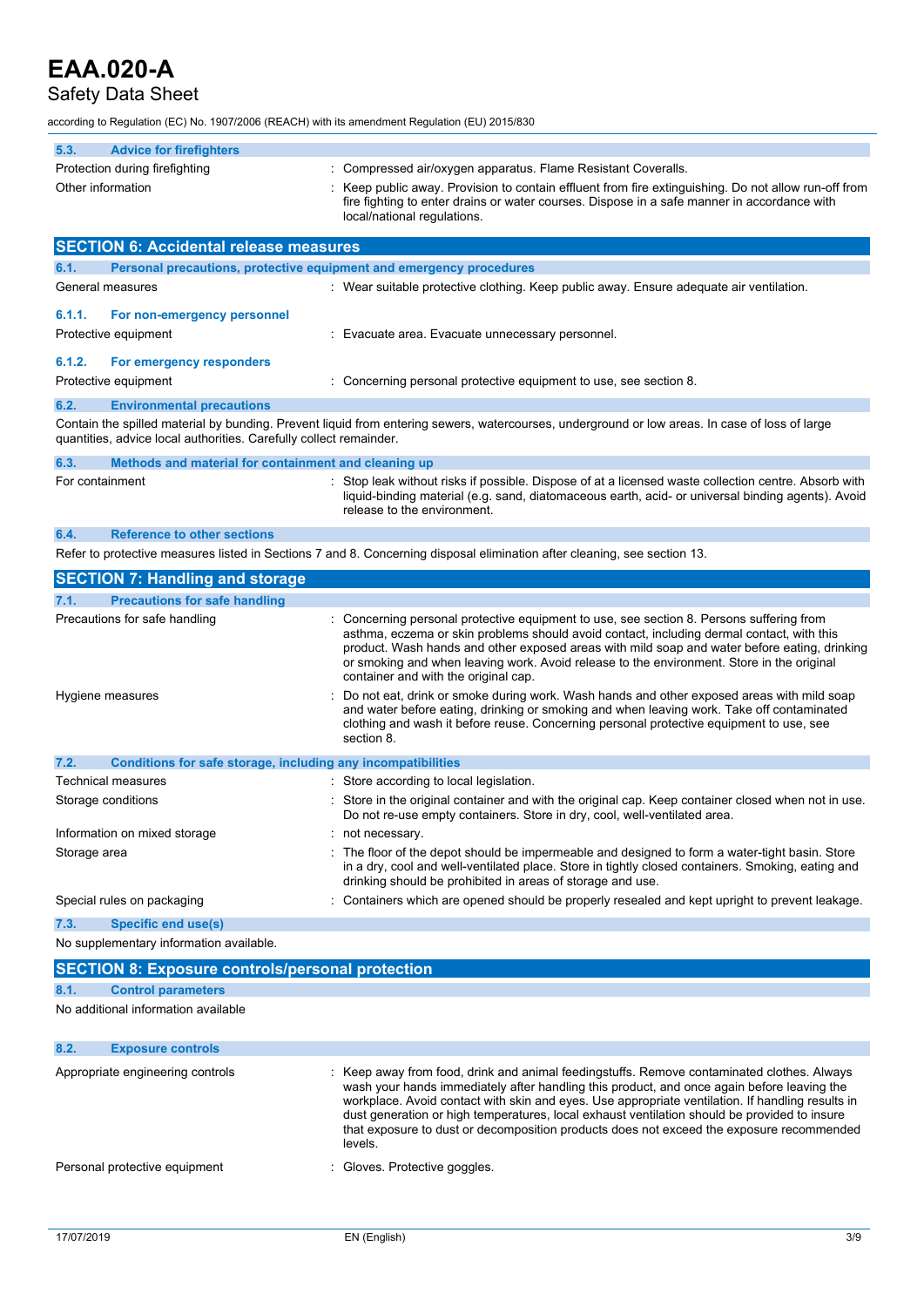### Safety Data Sheet

according to Regulation (EC) No. 1907/2006 (REACH) with its amendment Regulation (EU) 2015/830

| according to Regulation (EC) No. 1907/2006 (REACH) with its amendment Regulation (EU) 2015/830                                                                                                                       |                                                                                                                                                                                                                                                                                                 |  |
|----------------------------------------------------------------------------------------------------------------------------------------------------------------------------------------------------------------------|-------------------------------------------------------------------------------------------------------------------------------------------------------------------------------------------------------------------------------------------------------------------------------------------------|--|
| 5.3.<br><b>Advice for firefighters</b>                                                                                                                                                                               |                                                                                                                                                                                                                                                                                                 |  |
| Protection during firefighting<br>Other information                                                                                                                                                                  | Compressed air/oxygen apparatus. Flame Resistant Coveralls.<br>Keep public away. Provision to contain effluent from fire extinguishing. Do not allow run-off from<br>fire fighting to enter drains or water courses. Dispose in a safe manner in accordance with<br>local/national regulations. |  |
| <b>SECTION 6: Accidental release measures</b>                                                                                                                                                                        |                                                                                                                                                                                                                                                                                                 |  |
| 6.1.                                                                                                                                                                                                                 | Personal precautions, protective equipment and emergency procedures                                                                                                                                                                                                                             |  |
| General measures                                                                                                                                                                                                     | : Wear suitable protective clothing. Keep public away. Ensure adequate air ventilation.                                                                                                                                                                                                         |  |
| 6.1.1.<br>For non-emergency personnel<br>Protective equipment                                                                                                                                                        | Evacuate area. Evacuate unnecessary personnel.                                                                                                                                                                                                                                                  |  |
| 6.1.2.<br>For emergency responders<br>Protective equipment                                                                                                                                                           | Concerning personal protective equipment to use, see section 8.                                                                                                                                                                                                                                 |  |
| 6.2.<br><b>Environmental precautions</b>                                                                                                                                                                             |                                                                                                                                                                                                                                                                                                 |  |
| Contain the spilled material by bunding. Prevent liquid from entering sewers, watercourses, underground or low areas. In case of loss of large<br>quantities, advice local authorities. Carefully collect remainder. |                                                                                                                                                                                                                                                                                                 |  |
| 6.3.<br>Methods and material for containment and cleaning up                                                                                                                                                         |                                                                                                                                                                                                                                                                                                 |  |
| For containment                                                                                                                                                                                                      | Stop leak without risks if possible. Dispose of at a licensed waste collection centre. Absorb with<br>liquid-binding material (e.g. sand, diatomaceous earth, acid- or universal binding agents). Avoid<br>release to the environment.                                                          |  |
| <b>Reference to other sections</b><br>6.4.                                                                                                                                                                           |                                                                                                                                                                                                                                                                                                 |  |
|                                                                                                                                                                                                                      | Refer to protective measures listed in Sections 7 and 8. Concerning disposal elimination after cleaning, see section 13.                                                                                                                                                                        |  |
| <b>SECTION 7: Handling and storage</b>                                                                                                                                                                               |                                                                                                                                                                                                                                                                                                 |  |

| <b>Precautions for safe handling</b><br>7.1.                         |                                                                                                                                                                                                                                                                                                                                                                                                                            |
|----------------------------------------------------------------------|----------------------------------------------------------------------------------------------------------------------------------------------------------------------------------------------------------------------------------------------------------------------------------------------------------------------------------------------------------------------------------------------------------------------------|
| Precautions for safe handling                                        | : Concerning personal protective equipment to use, see section 8. Persons suffering from<br>asthma, eczema or skin problems should avoid contact, including dermal contact, with this<br>product. Wash hands and other exposed areas with mild soap and water before eating, drinking<br>or smoking and when leaving work. Avoid release to the environment. Store in the original<br>container and with the original cap. |
| Hygiene measures                                                     | : Do not eat, drink or smoke during work. Wash hands and other exposed areas with mild soap<br>and water before eating, drinking or smoking and when leaving work. Take off contaminated<br>clothing and wash it before reuse. Concerning personal protective equipment to use, see<br>section 8.                                                                                                                          |
| 7.2.<br>Conditions for safe storage, including any incompatibilities |                                                                                                                                                                                                                                                                                                                                                                                                                            |
| Technical measures                                                   | : Store according to local legislation.                                                                                                                                                                                                                                                                                                                                                                                    |
| Storage conditions                                                   | : Store in the original container and with the original cap. Keep container closed when not in use.<br>Do not re-use empty containers. Store in dry, cool, well-ventilated area.                                                                                                                                                                                                                                           |
| Information on mixed storage                                         | : not necessary.                                                                                                                                                                                                                                                                                                                                                                                                           |
| Storage area                                                         | The floor of the depot should be impermeable and designed to form a water-tight basin. Store<br>in a dry, cool and well-ventilated place. Store in tightly closed containers. Smoking, eating and<br>drinking should be prohibited in areas of storage and use.                                                                                                                                                            |
| Special rules on packaging                                           | Containers which are opened should be properly resealed and kept upright to prevent leakage.                                                                                                                                                                                                                                                                                                                               |
| 7.3.<br>Specific end use(s)                                          |                                                                                                                                                                                                                                                                                                                                                                                                                            |

No supplementary information available.

|      | <b>SECTION 8: Exposure controls/personal protection</b> |                                                                                                                                                                                                                                                                                                                                                                                                                                                                                                     |
|------|---------------------------------------------------------|-----------------------------------------------------------------------------------------------------------------------------------------------------------------------------------------------------------------------------------------------------------------------------------------------------------------------------------------------------------------------------------------------------------------------------------------------------------------------------------------------------|
| 8.1. | <b>Control parameters</b>                               |                                                                                                                                                                                                                                                                                                                                                                                                                                                                                                     |
|      | No additional information available                     |                                                                                                                                                                                                                                                                                                                                                                                                                                                                                                     |
| 8.2. | <b>Exposure controls</b>                                |                                                                                                                                                                                                                                                                                                                                                                                                                                                                                                     |
|      | Appropriate engineering controls                        | : Keep away from food, drink and animal feedingstuffs. Remove contaminated clothes. Always<br>wash your hands immediately after handling this product, and once again before leaving the<br>workplace. Avoid contact with skin and eyes. Use appropriate ventilation. If handling results in<br>dust generation or high temperatures, local exhaust ventilation should be provided to insure<br>that exposure to dust or decomposition products does not exceed the exposure recommended<br>levels. |
|      | Personal protective equipment                           | Gloves. Protective goggles.                                                                                                                                                                                                                                                                                                                                                                                                                                                                         |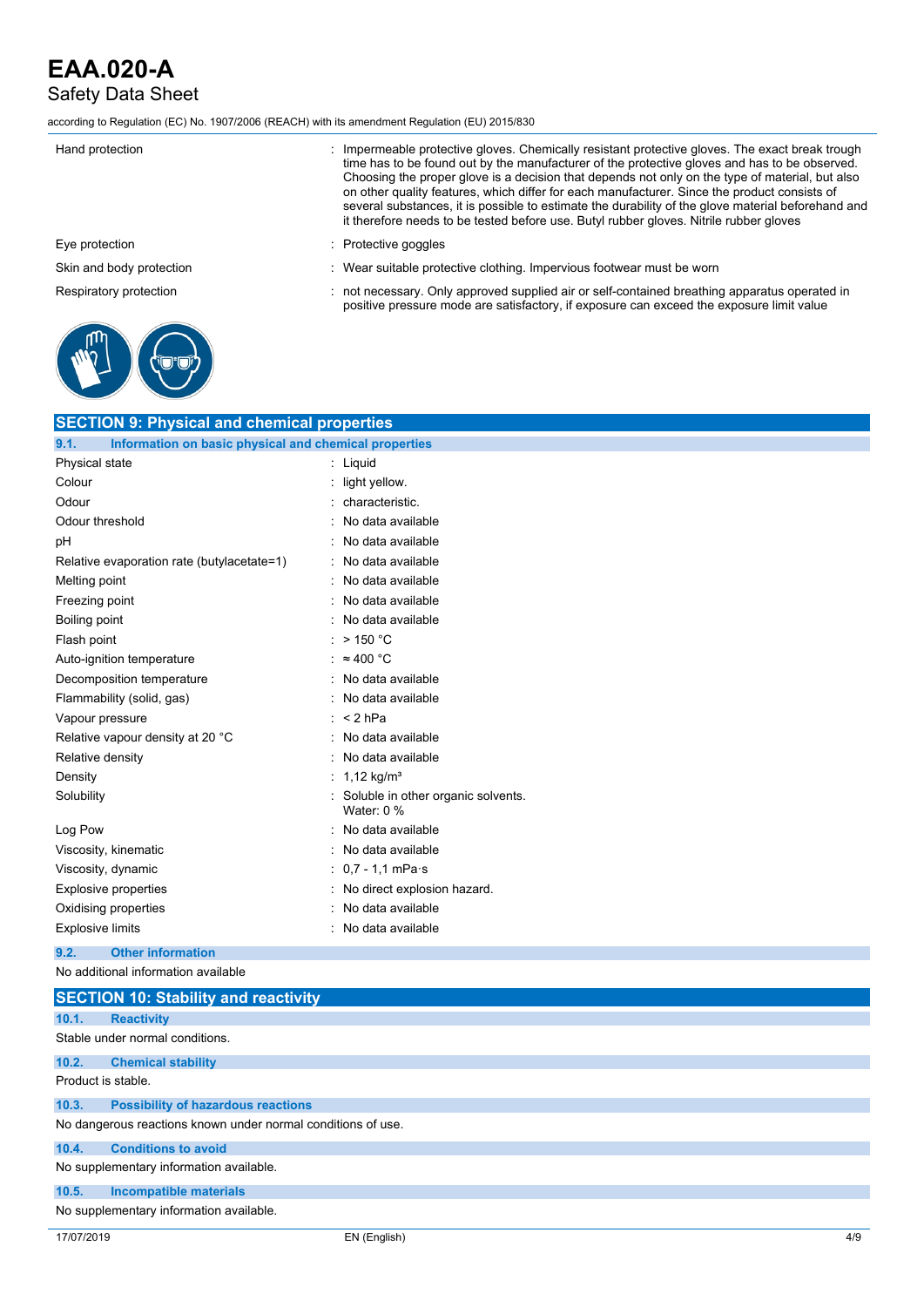## Safety Data Sheet

according to Regulation (EC) No. 1907/2006 (REACH) with its amendment Regulation (EU) 2015/830

| Hand protection          | Impermeable protective gloves. Chemically resistant protective gloves. The exact break trough<br>time has to be found out by the manufacturer of the protective gloves and has to be observed.<br>Choosing the proper glove is a decision that depends not only on the type of material, but also<br>on other quality features, which differ for each manufacturer. Since the product consists of<br>several substances, it is possible to estimate the durability of the glove material beforehand and<br>it therefore needs to be tested before use. Butyl rubber gloves. Nitrile rubber gloves |
|--------------------------|---------------------------------------------------------------------------------------------------------------------------------------------------------------------------------------------------------------------------------------------------------------------------------------------------------------------------------------------------------------------------------------------------------------------------------------------------------------------------------------------------------------------------------------------------------------------------------------------------|
| Eye protection           | Protective goggles                                                                                                                                                                                                                                                                                                                                                                                                                                                                                                                                                                                |
| Skin and body protection | Wear suitable protective clothing. Impervious footwear must be worn                                                                                                                                                                                                                                                                                                                                                                                                                                                                                                                               |
| Respiratory protection   | not necessary. Only approved supplied air or self-contained breathing apparatus operated in<br>positive pressure mode are satisfactory, if exposure can exceed the exposure limit value                                                                                                                                                                                                                                                                                                                                                                                                           |
|                          |                                                                                                                                                                                                                                                                                                                                                                                                                                                                                                                                                                                                   |

| <b>SECTION 9: Physical and chemical properties</b>            |                                                 |
|---------------------------------------------------------------|-------------------------------------------------|
| 9.1.<br>Information on basic physical and chemical properties |                                                 |
| Physical state                                                | $:$ Liquid                                      |
| Colour                                                        | light yellow.                                   |
| Odour                                                         | characteristic.                                 |
| Odour threshold                                               | No data available                               |
| pH                                                            | No data available                               |
| Relative evaporation rate (butylacetate=1)                    | No data available                               |
| Melting point                                                 | No data available                               |
| Freezing point                                                | No data available                               |
| Boiling point                                                 | No data available                               |
| Flash point                                                   | $>$ 150 °C                                      |
| Auto-ignition temperature                                     | $\approx 400$ °C                                |
| Decomposition temperature                                     | No data available                               |
| Flammability (solid, gas)                                     | No data available                               |
| Vapour pressure                                               | $: < 2$ hPa                                     |
| Relative vapour density at 20 °C                              | No data available                               |
| Relative density                                              | No data available                               |
| Density                                                       | 1,12 kg/m <sup>3</sup>                          |
| Solubility                                                    | Soluble in other organic solvents.<br>Water 0 % |
| Log Pow                                                       | No data available<br>۰                          |
| Viscosity, kinematic                                          | No data available                               |
| Viscosity, dynamic                                            | $0.7 - 1.1$ mPa $\cdot$ s                       |
| <b>Explosive properties</b>                                   | No direct explosion hazard.                     |
| Oxidising properties                                          | No data available                               |
| <b>Explosive limits</b>                                       | No data available                               |
|                                                               |                                                 |

## **9.2. Other information**

```
No additional information available
```

|                                                              | <b>SECTION 10: Stability and reactivity</b> |  |  |  |  |
|--------------------------------------------------------------|---------------------------------------------|--|--|--|--|
| 10.1.                                                        | <b>Reactivity</b>                           |  |  |  |  |
|                                                              | Stable under normal conditions.             |  |  |  |  |
| 10.2.                                                        | <b>Chemical stability</b>                   |  |  |  |  |
| Product is stable.                                           |                                             |  |  |  |  |
| 10.3.                                                        | <b>Possibility of hazardous reactions</b>   |  |  |  |  |
| No dangerous reactions known under normal conditions of use. |                                             |  |  |  |  |
| 10.4.                                                        | <b>Conditions to avoid</b>                  |  |  |  |  |
|                                                              | No supplementary information available.     |  |  |  |  |
| 10.5.                                                        | <b>Incompatible materials</b>               |  |  |  |  |
|                                                              | No supplementary information available.     |  |  |  |  |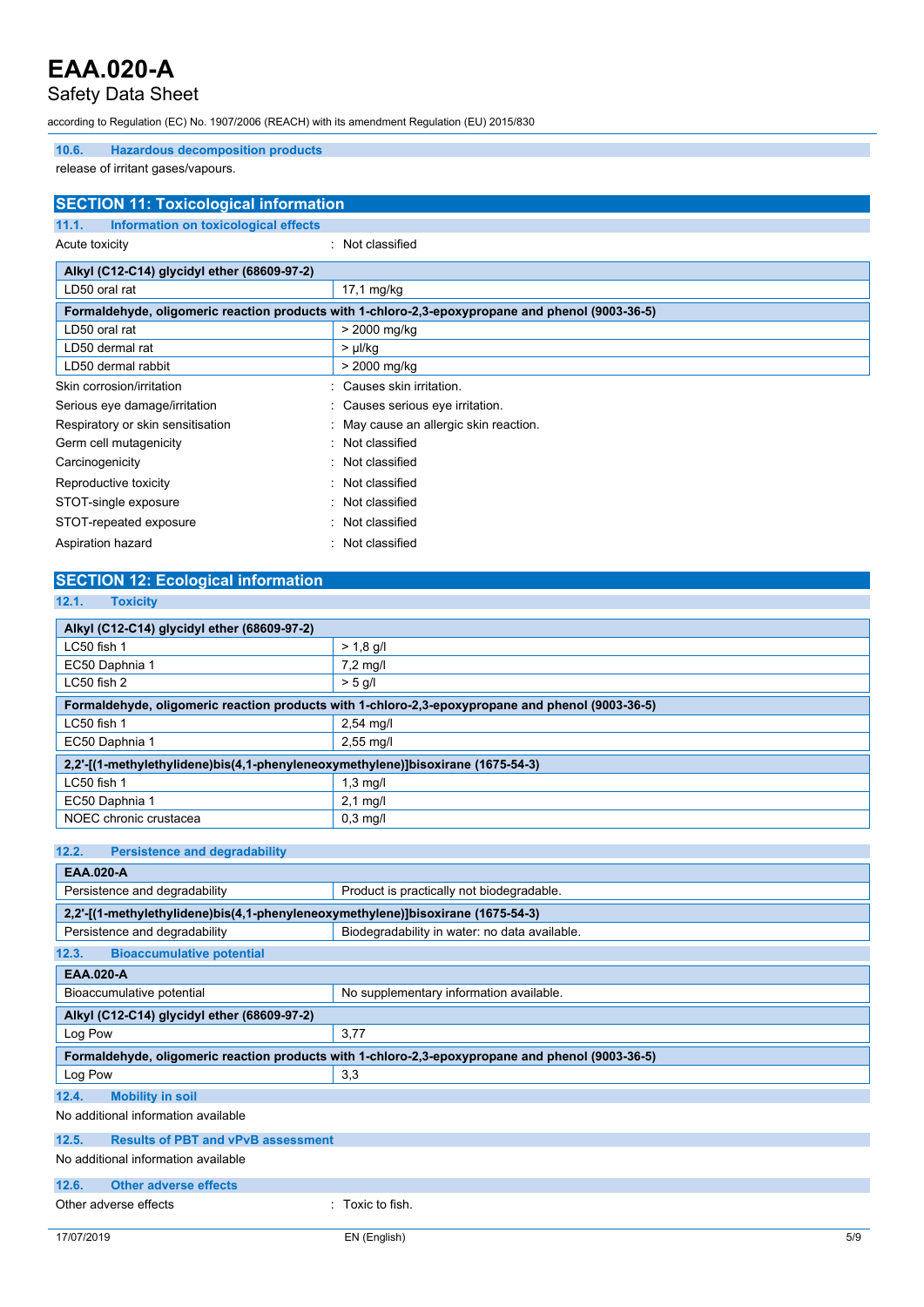### Safety Data Sheet

according to Regulation (EC) No. 1907/2006 (REACH) with its amendment Regulation (EU) 2015/830

#### **10.6. Hazardous decomposition products**

release of irritant gases/vapours.

| <b>SECTION 11: Toxicological information</b>  |                                                                                                  |  |
|-----------------------------------------------|--------------------------------------------------------------------------------------------------|--|
| Information on toxicological effects<br>11.1. |                                                                                                  |  |
| Acute toxicity                                | : Not classified                                                                                 |  |
| Alkyl (C12-C14) glycidyl ether (68609-97-2)   |                                                                                                  |  |
| LD50 oral rat                                 | $17,1$ mg/kg                                                                                     |  |
|                                               | Formaldehyde, oligomeric reaction products with 1-chloro-2,3-epoxypropane and phenol (9003-36-5) |  |
| LD50 oral rat                                 | > 2000 mg/kg                                                                                     |  |
| LD50 dermal rat                               | $> \mu$ l/kg                                                                                     |  |
| LD50 dermal rabbit                            | $> 2000$ mg/kg                                                                                   |  |
| Skin corrosion/irritation                     | Causes skin irritation.                                                                          |  |
| Serious eye damage/irritation                 | : Causes serious eye irritation.                                                                 |  |
| Respiratory or skin sensitisation             | May cause an allergic skin reaction.                                                             |  |
| Germ cell mutagenicity                        | Not classified                                                                                   |  |
| Carcinogenicity                               | Not classified                                                                                   |  |
| Reproductive toxicity                         | Not classified                                                                                   |  |
| STOT-single exposure                          | Not classified                                                                                   |  |
| STOT-repeated exposure                        | Not classified                                                                                   |  |
| Aspiration hazard                             | Not classified                                                                                   |  |
|                                               |                                                                                                  |  |

| <b>SECTION 12: Ecological information</b> |  |
|-------------------------------------------|--|
|                                           |  |

| 12.1.<br><b>Toxicity</b>                                                                         |                    |  |
|--------------------------------------------------------------------------------------------------|--------------------|--|
|                                                                                                  |                    |  |
| Alkyl (C12-C14) glycidyl ether (68609-97-2)                                                      |                    |  |
| $LC50$ fish 1                                                                                    | $> 1.8$ g/l        |  |
| EC50 Daphnia 1                                                                                   | $7.2 \text{ mq/l}$ |  |
| $LC50$ fish 2                                                                                    | $> 5$ g/l          |  |
| Formaldehyde, oligomeric reaction products with 1-chloro-2,3-epoxypropane and phenol (9003-36-5) |                    |  |
| $LC50$ fish 1                                                                                    | $2,54$ mg/l        |  |
| EC50 Daphnia 1                                                                                   | $2,55$ mg/l        |  |
| 2,2'-[(1-methylethylidene)bis(4,1-phenyleneoxymethylene)]bisoxirane (1675-54-3)                  |                    |  |
| LC50 fish 1                                                                                      | $1,3 \text{ mg/l}$ |  |
| EC50 Daphnia 1                                                                                   | $2.1 \text{ mq/l}$ |  |
| NOEC chronic crustacea                                                                           | $0.3$ mg/l         |  |
|                                                                                                  |                    |  |

#### **12.2. Persistence and degradability**

| <b>EAA.020-A</b>                                                                |                                                                                                  |
|---------------------------------------------------------------------------------|--------------------------------------------------------------------------------------------------|
| Persistence and degradability                                                   | Product is practically not biodegradable.                                                        |
| 2,2'-[(1-methylethylidene)bis(4,1-phenyleneoxymethylene)]bisoxirane (1675-54-3) |                                                                                                  |
| Persistence and degradability                                                   | Biodegradability in water: no data available.                                                    |
| 12.3.<br><b>Bioaccumulative potential</b>                                       |                                                                                                  |
| <b>EAA.020-A</b>                                                                |                                                                                                  |
| Bioaccumulative potential                                                       | No supplementary information available.                                                          |
| Alkyl (C12-C14) glycidyl ether (68609-97-2)                                     |                                                                                                  |
| Log Pow                                                                         | 3,77                                                                                             |
|                                                                                 |                                                                                                  |
|                                                                                 | Formaldehyde, oligomeric reaction products with 1-chloro-2,3-epoxypropane and phenol (9003-36-5) |
| Log Pow                                                                         | 3,3                                                                                              |
| 12.4.<br><b>Mobility in soil</b>                                                |                                                                                                  |
| No additional information available                                             |                                                                                                  |
| <b>Results of PBT and vPvB assessment</b><br>12.5.                              |                                                                                                  |
| No additional information available                                             |                                                                                                  |
| 12.6.<br><b>Other adverse effects</b>                                           |                                                                                                  |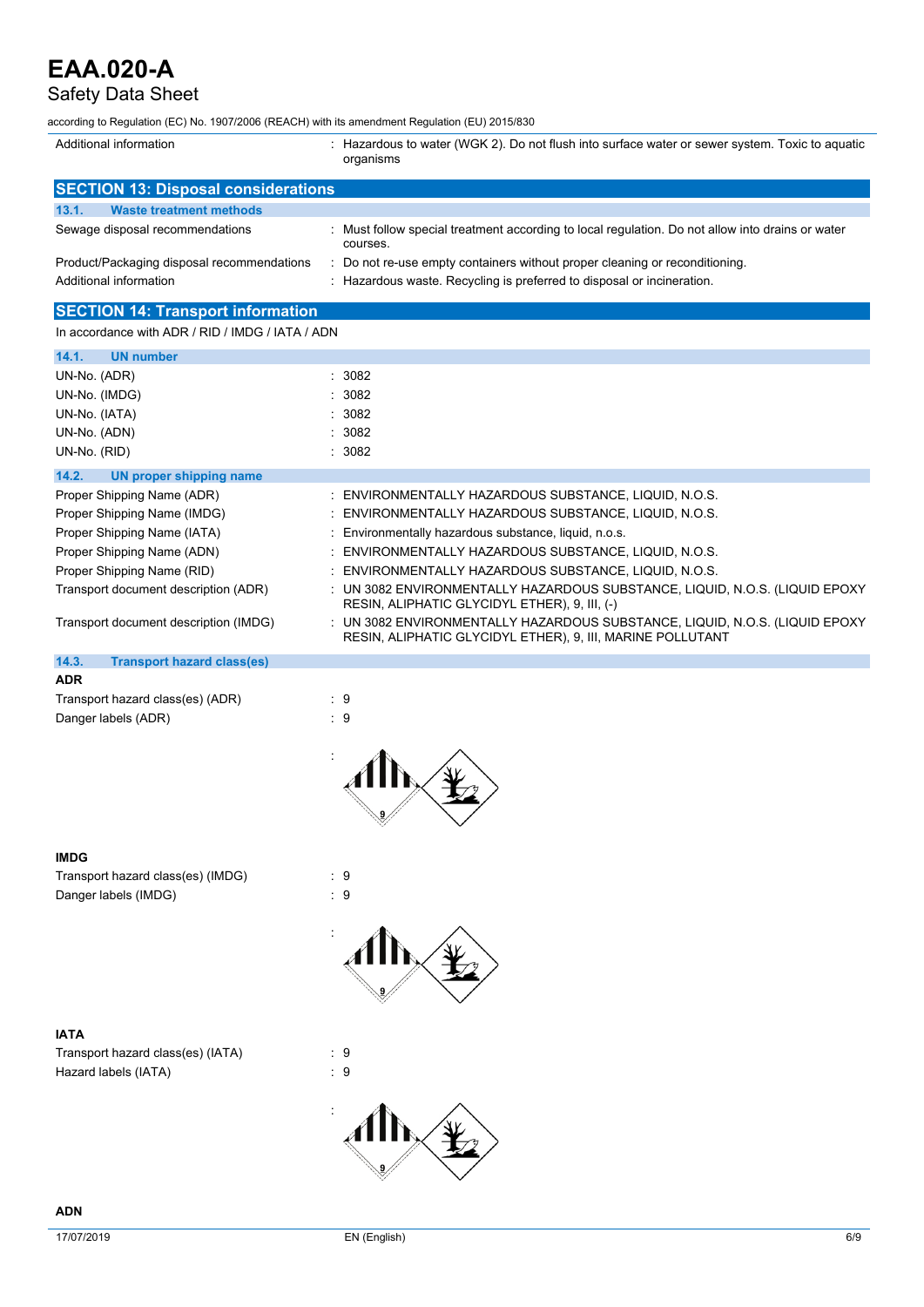## Safety Data Sheet

according to Regulation (EC) No. 1907/2006 (REACH) with its amendment Regulation (EU) 2015/830

| Additional information                           | : Hazardous to water (WGK 2). Do not flush into surface water or sewer system. Toxic to aquatic<br>organisms                              |
|--------------------------------------------------|-------------------------------------------------------------------------------------------------------------------------------------------|
| <b>SECTION 13: Disposal considerations</b>       |                                                                                                                                           |
| 13.1.<br><b>Waste treatment methods</b>          |                                                                                                                                           |
| Sewage disposal recommendations                  | : Must follow special treatment according to local regulation. Do not allow into drains or water<br>courses.                              |
| Product/Packaging disposal recommendations       | Do not re-use empty containers without proper cleaning or reconditioning.                                                                 |
| Additional information                           | : Hazardous waste. Recycling is preferred to disposal or incineration.                                                                    |
| <b>SECTION 14: Transport information</b>         |                                                                                                                                           |
| In accordance with ADR / RID / IMDG / IATA / ADN |                                                                                                                                           |
|                                                  |                                                                                                                                           |
| <b>UN number</b><br>14.1.                        | : 3082                                                                                                                                    |
| UN-No. (ADR)<br>UN-No. (IMDG)                    | 3082                                                                                                                                      |
| UN-No. (IATA)                                    | 3082                                                                                                                                      |
| UN-No. (ADN)                                     | 3082                                                                                                                                      |
| UN-No. (RID)                                     | : 3082                                                                                                                                    |
|                                                  |                                                                                                                                           |
| 14.2.<br><b>UN proper shipping name</b>          |                                                                                                                                           |
| Proper Shipping Name (ADR)                       | : ENVIRONMENTALLY HAZARDOUS SUBSTANCE, LIQUID, N.O.S.                                                                                     |
| Proper Shipping Name (IMDG)                      | : ENVIRONMENTALLY HAZARDOUS SUBSTANCE, LIQUID, N.O.S.                                                                                     |
| Proper Shipping Name (IATA)                      | Environmentally hazardous substance, liquid, n.o.s.                                                                                       |
| Proper Shipping Name (ADN)                       | ENVIRONMENTALLY HAZARDOUS SUBSTANCE, LIQUID, N.O.S.                                                                                       |
| Proper Shipping Name (RID)                       | ENVIRONMENTALLY HAZARDOUS SUBSTANCE, LIQUID, N.O.S.                                                                                       |
| Transport document description (ADR)             | : UN 3082 ENVIRONMENTALLY HAZARDOUS SUBSTANCE, LIQUID, N.O.S. (LIQUID EPOXY<br>RESIN, ALIPHATIC GLYCIDYL ETHER), 9, III, (-)              |
| Transport document description (IMDG)            | : UN 3082 ENVIRONMENTALLY HAZARDOUS SUBSTANCE, LIQUID, N.O.S. (LIQUID EPOXY<br>RESIN, ALIPHATIC GLYCIDYL ETHER), 9, III, MARINE POLLUTANT |
| 14.3.<br><b>Transport hazard class(es)</b>       |                                                                                                                                           |
| <b>ADR</b>                                       |                                                                                                                                           |
| Transport hazard class(es) (ADR)                 | : 9                                                                                                                                       |
| Danger labels (ADR)                              | $\therefore$ 9                                                                                                                            |
|                                                  |                                                                                                                                           |
| <b>IMDG</b>                                      |                                                                                                                                           |

Transport hazard class(es) (IMDG) : 9 Danger labels (IMDG)  $\qquad \qquad$  : 9

**IATA**

Transport hazard class(es) (IATA) : 9 Hazard labels (IATA)  $\qquad \qquad$  : 9



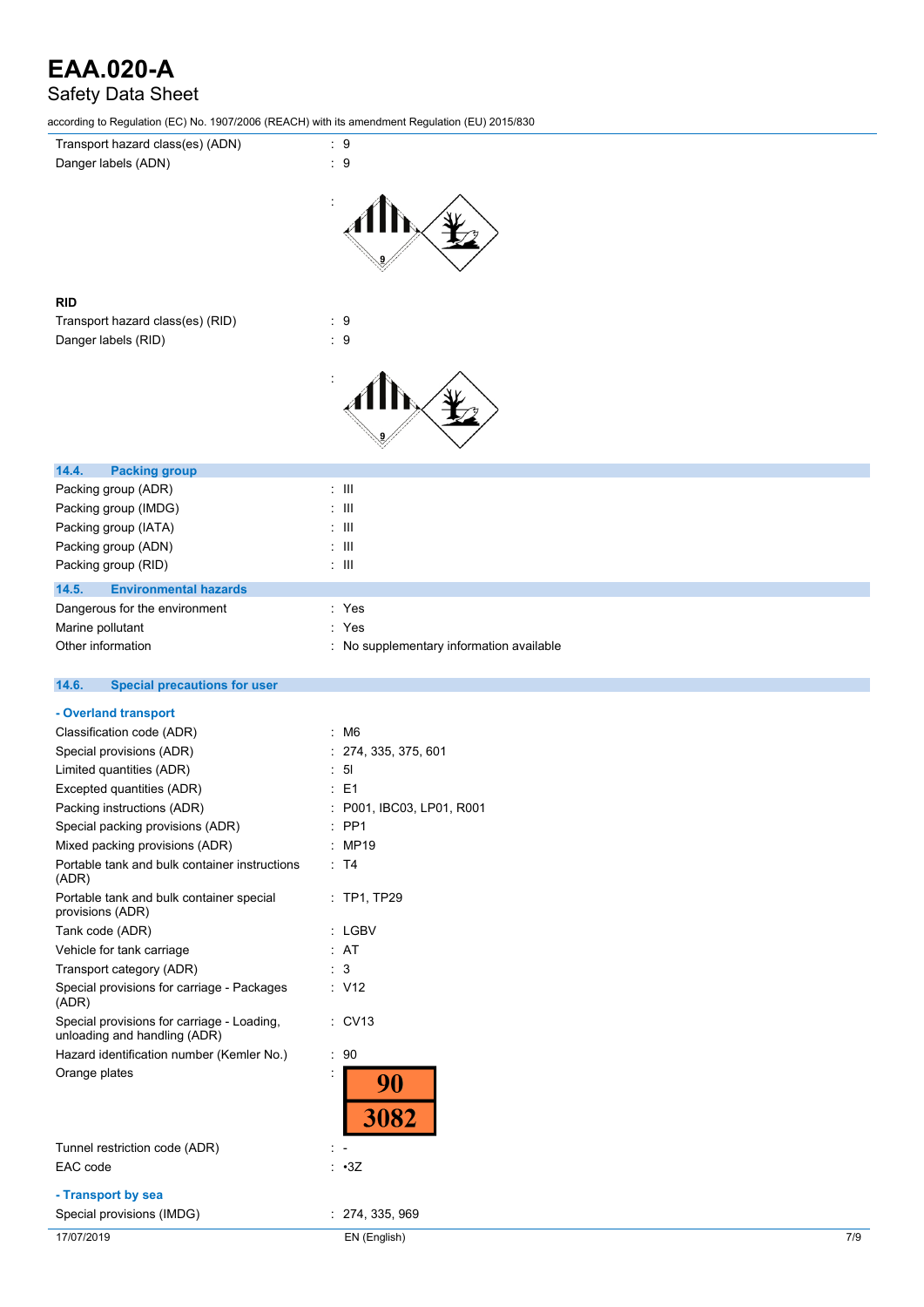## Safety Data Sheet

according to Regulation (EC) No. 1907/2006 (REACH) with its amendment Regulation (EU) 2015/830

| Transport hazard class(es) (ADN)                             | $\cdot$ 9                                         |
|--------------------------------------------------------------|---------------------------------------------------|
| Danger labels (ADN)                                          | $\therefore$ 9                                    |
|                                                              |                                                   |
|                                                              |                                                   |
|                                                              |                                                   |
|                                                              |                                                   |
|                                                              |                                                   |
| <b>RID</b>                                                   |                                                   |
| Transport hazard class(es) (RID)                             | $\therefore$ 9                                    |
| Danger labels (RID)                                          | $\therefore$ 9                                    |
|                                                              |                                                   |
|                                                              |                                                   |
|                                                              |                                                   |
|                                                              |                                                   |
|                                                              |                                                   |
|                                                              |                                                   |
| 14.4.<br><b>Packing group</b>                                |                                                   |
| Packing group (ADR)                                          | $\div$ III                                        |
| Packing group (IMDG)                                         | $\,$ III<br>÷                                     |
| Packing group (IATA)                                         | $\pm$ 111<br>$\div$ III                           |
| Packing group (ADN)<br>Packing group (RID)                   | $\pm$ 111                                         |
|                                                              |                                                   |
| 14.5.<br><b>Environmental hazards</b>                        |                                                   |
| Dangerous for the environment                                | : Yes                                             |
| Marine pollutant<br>Other information                        | : Yes<br>: No supplementary information available |
|                                                              |                                                   |
| 14.6.<br><b>Special precautions for user</b>                 |                                                   |
|                                                              |                                                   |
| - Overland transport                                         |                                                   |
| Classification code (ADR)<br>Special provisions (ADR)        | $\therefore$ M6                                   |
| Limited quantities (ADR)                                     | 274, 335, 375, 601<br>5 <sub>l</sub><br>t         |
| Excepted quantities (ADR)                                    | $\therefore$ E1                                   |
| Packing instructions (ADR)                                   | P001, IBC03, LP01, R001                           |
| Special packing provisions (ADR)                             | $:$ PP1                                           |
| Mixed packing provisions (ADR)                               | : MP19                                            |
| Portable tank and bulk container instructions                | $\therefore$ T4                                   |
| (ADR)                                                        |                                                   |
| Portable tank and bulk container special<br>provisions (ADR) | $:$ TP1, TP29                                     |
| Tank code (ADR)                                              | : LGBV                                            |
| Vehicle for tank carriage                                    | : AT                                              |
| Transport category (ADR)                                     | $\therefore$ 3                                    |
| Special provisions for carriage - Packages                   | : V12                                             |
| (ADR)                                                        |                                                   |
| Special provisions for carriage - Loading,                   | : CV13                                            |
| unloading and handling (ADR)                                 |                                                   |
| Hazard identification number (Kemler No.)                    | : 90                                              |
| Orange plates                                                | ÷<br>90                                           |
|                                                              |                                                   |
|                                                              | 3082                                              |
| Tunnel restriction code (ADR)                                |                                                   |
| EAC code                                                     | : 3Z                                              |
| - Transport by sea                                           |                                                   |
| Special provisions (IMDG)                                    | : 274, 335, 969                                   |
| 17/07/2019                                                   | EN (English)<br>7/9                               |
|                                                              |                                                   |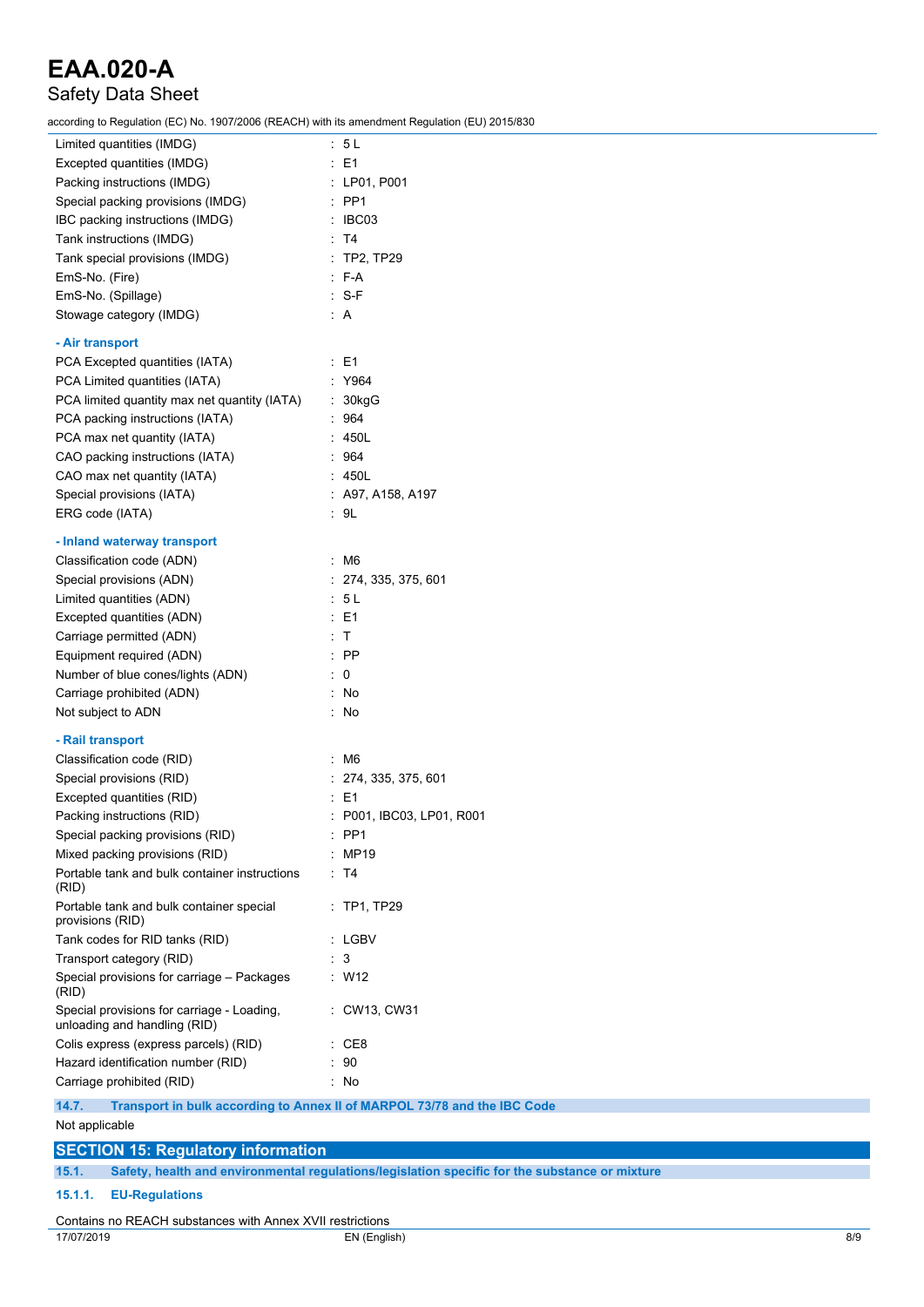## Safety Data Sheet

according to Regulation (EC) No. 1907/2006 (REACH) with its amendment Regulation (EU) 2015/830

| Limited quantities (IMDG)                                                       | : 5L                                                                     |
|---------------------------------------------------------------------------------|--------------------------------------------------------------------------|
| Excepted quantities (IMDG)                                                      | $\therefore$ E1                                                          |
| Packing instructions (IMDG)                                                     | : LP01, P001                                                             |
| Special packing provisions (IMDG)                                               | $\therefore$ PP1                                                         |
| IBC packing instructions (IMDG)                                                 | $\therefore$ IBC03                                                       |
| Tank instructions (IMDG)                                                        | : T4                                                                     |
| Tank special provisions (IMDG)                                                  | <b>TP2, TP29</b>                                                         |
| EmS-No. (Fire)                                                                  | $F-A$                                                                    |
| EmS-No. (Spillage)                                                              | $: S-F$                                                                  |
| Stowage category (IMDG)                                                         | : A                                                                      |
|                                                                                 |                                                                          |
| - Air transport                                                                 |                                                                          |
| PCA Excepted quantities (IATA)                                                  | $\therefore$ E1                                                          |
| PCA Limited quantities (IATA)                                                   | : Y964                                                                   |
| PCA limited quantity max net quantity (IATA)                                    | : 30kgG                                                                  |
| PCA packing instructions (IATA)                                                 | : 964                                                                    |
| PCA max net quantity (IATA)                                                     | : 450L                                                                   |
| CAO packing instructions (IATA)                                                 | 964                                                                      |
| CAO max net quantity (IATA)                                                     | 450L                                                                     |
| Special provisions (IATA)                                                       | : A97, A158, A197                                                        |
| ERG code (IATA)                                                                 | : 9L                                                                     |
| - Inland waterway transport                                                     |                                                                          |
| Classification code (ADN)                                                       | $~\cdot~$ M6                                                             |
| Special provisions (ADN)                                                        | : 274, 335, 375, 601                                                     |
| Limited quantities (ADN)                                                        | : 5 L                                                                    |
| Excepted quantities (ADN)                                                       | : E1                                                                     |
| Carriage permitted (ADN)                                                        | $\mathsf{T}$                                                             |
| Equipment required (ADN)                                                        | : PP                                                                     |
| Number of blue cones/lights (ADN)                                               | $\colon 0$                                                               |
| Carriage prohibited (ADN)                                                       | : No                                                                     |
| Not subject to ADN                                                              | $\therefore$ No                                                          |
| - Rail transport                                                                |                                                                          |
| Classification code (RID)                                                       | ÷<br>M6                                                                  |
| Special provisions (RID)                                                        | 274, 335, 375, 601                                                       |
|                                                                                 | ÷<br>E1                                                                  |
| Excepted quantities (RID)<br>Packing instructions (RID)                         |                                                                          |
| Special packing provisions (RID)                                                | P001, IBC03, LP01, R001                                                  |
|                                                                                 | PP1<br>MP19                                                              |
| Mixed packing provisions (RID)<br>Portable tank and bulk container instructions | : T4                                                                     |
| (RID)                                                                           |                                                                          |
| Portable tank and bulk container special<br>provisions (RID)                    | : TP1, TP29                                                              |
| Tank codes for RID tanks (RID)                                                  | : LGBV                                                                   |
| Transport category (RID)                                                        | : 3                                                                      |
| Special provisions for carriage - Packages<br>(RID)                             | : W12                                                                    |
| Special provisions for carriage - Loading,<br>unloading and handling (RID)      | CW13, CW31                                                               |
| Colis express (express parcels) (RID)                                           | $\therefore$ CE8                                                         |
| Hazard identification number (RID)                                              | 90                                                                       |
| Carriage prohibited (RID)                                                       | : No                                                                     |
| 14.7.                                                                           | Transport in bulk according to Annex II of MARPOL 73/78 and the IBC Code |

Not applicable

### **SECTION 15: Regulatory information 15.1. Safety, health and environmental regulations/legislation specific for the substance or mixture 15.1.1. EU-Regulations**

### Contains no REACH substances with Annex XVII restrictions